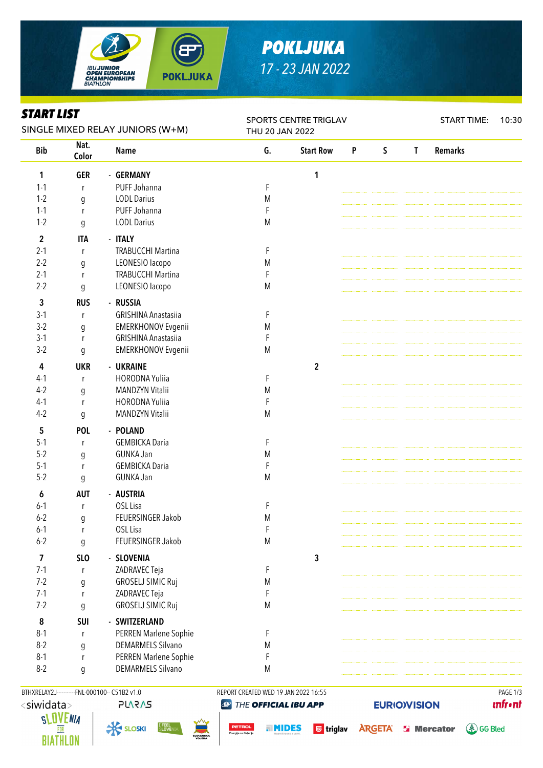

# *POKLJUKA 17 - 23 JAN 2022*

### *START LIST*

| ƏIAKI LIƏI<br>SINGLE MIXED RELAY JUNIORS (W+M) |                  |                            | SPORTS CENTRE TRIGLAV<br>THU 20 JAN 2022 |                  |                           |             |              | <b>START TIME:</b> | 10:30 |
|------------------------------------------------|------------------|----------------------------|------------------------------------------|------------------|---------------------------|-------------|--------------|--------------------|-------|
| <b>Bib</b>                                     | Nat.<br>Color    | <b>Name</b>                | G.                                       | <b>Start Row</b> | $\boldsymbol{\mathsf{P}}$ | $\mathsf S$ | $\mathsf{T}$ | <b>Remarks</b>     |       |
| 1                                              | <b>GER</b>       | - GERMANY                  |                                          | 1                |                           |             |              |                    |       |
| $1 - 1$                                        | r                | PUFF Johanna               | F                                        |                  |                           |             |              |                    |       |
| $1 - 2$                                        | $\boldsymbol{g}$ | <b>LODL Darius</b>         | M                                        |                  |                           |             |              |                    |       |
| $1 - 1$                                        | r                | PUFF Johanna               | F                                        |                  |                           |             |              |                    |       |
| $1 - 2$                                        | g                | <b>LODL Darius</b>         | M                                        |                  |                           |             |              |                    |       |
| $\overline{\mathbf{c}}$                        | <b>ITA</b>       | - ITALY                    |                                          |                  |                           |             |              |                    |       |
| $2 - 1$                                        | r                | <b>TRABUCCHI Martina</b>   | F                                        |                  |                           |             |              |                    |       |
| $2 - 2$                                        | g                | LEONESIO lacopo            | M                                        |                  |                           |             |              |                    |       |
| $2 - 1$                                        | r                | <b>TRABUCCHI Martina</b>   | F                                        |                  |                           |             |              |                    |       |
| $2 - 2$                                        | $\boldsymbol{g}$ | LEONESIO lacopo            | M                                        |                  |                           |             |              |                    |       |
| 3                                              | <b>RUS</b>       | - RUSSIA                   |                                          |                  |                           |             |              |                    |       |
| $3-1$                                          | r                | <b>GRISHINA Anastasiia</b> | F                                        |                  |                           |             |              |                    |       |
| $3-2$                                          | g                | <b>EMERKHONOV Evgenii</b>  | M                                        |                  |                           |             |              |                    |       |
| $3-1$                                          | r                | <b>GRISHINA Anastasiia</b> | F                                        |                  |                           |             |              |                    |       |
| $3-2$                                          |                  | <b>EMERKHONOV Evgenii</b>  | M                                        |                  |                           |             |              |                    |       |
|                                                | g                |                            |                                          |                  |                           |             |              |                    |       |
| 4                                              | <b>UKR</b>       | - UKRAINE                  |                                          | $\mathbf{2}$     |                           |             |              |                    |       |
| $4-1$                                          | r                | <b>HORODNA Yuliia</b>      | F                                        |                  |                           |             |              |                    |       |
| $4-2$                                          | $\boldsymbol{g}$ | MANDZYN Vitalii            | M                                        |                  |                           |             |              |                    |       |
| $4-1$                                          | r                | HORODNA Yuliia             | F                                        |                  |                           |             |              |                    |       |
| $4-2$                                          | g                | <b>MANDZYN Vitalii</b>     | M                                        |                  |                           |             |              |                    |       |
| 5                                              | <b>POL</b>       | - POLAND                   |                                          |                  |                           |             |              |                    |       |
| $5-1$                                          | r                | <b>GEMBICKA Daria</b>      | F                                        |                  |                           |             |              |                    |       |
| $5 - 2$                                        | g                | <b>GUNKA Jan</b>           | M                                        |                  |                           |             |              |                    |       |
| $5 - 1$                                        | r                | <b>GEMBICKA Daria</b>      | F                                        |                  |                           |             |              |                    |       |
| $5 - 2$                                        | $\mathfrak g$    | <b>GUNKA Jan</b>           | M                                        |                  |                           |             |              |                    |       |
| 6                                              | <b>AUT</b>       | - AUSTRIA                  |                                          |                  |                           |             |              |                    |       |
| $6 - 1$                                        | r                | OSL Lisa                   | F                                        |                  |                           |             |              |                    |       |
| $6 - 2$                                        | g                | FEUERSINGER Jakob          | M                                        |                  |                           |             |              |                    |       |
| $6-1$                                          | r                | OSL Lisa                   | F                                        |                  |                           |             |              |                    |       |
| $6 - 2$                                        | g                | FEUERSINGER Jakob          | M                                        |                  |                           |             |              |                    |       |
| 7                                              | SL <sub>O</sub>  | - SLOVENIA                 |                                          | 3                |                           |             |              |                    |       |
| $7-1$                                          | r                | ZADRAVEC Teja              | F                                        |                  |                           |             |              |                    |       |
| $7 - 2$                                        | $\mathfrak g$    | <b>GROSELJ SIMIC Ruj</b>   | M                                        |                  |                           |             |              |                    |       |
| $7-1$                                          | r                | ZADRAVEC Teja              | F                                        |                  |                           |             |              |                    |       |
| $7 - 2$                                        | g                | <b>GROSELJ SIMIC Ruj</b>   | M                                        |                  |                           |             |              |                    |       |
| 8                                              | <b>SUI</b>       | - SWITZERLAND              |                                          |                  |                           |             |              |                    |       |
| $8 - 1$                                        | r                | PERREN Marlene Sophie      | F                                        |                  |                           |             |              |                    |       |
| $8-2$                                          | $\mathfrak g$    | <b>DEMARMELS Silvano</b>   | M                                        |                  |                           |             |              |                    |       |
| $8 - 1$                                        | r                | PERREN Marlene Sophie      | F                                        |                  |                           |             |              |                    |       |
| $8-2$                                          |                  | <b>DEMARMELS Silvano</b>   | M                                        |                  |                           |             |              |                    |       |
|                                                | g                |                            |                                          |                  |                           |             |              |                    |       |







**unfront** 



**a MIDES** G triglav ARGETA **S' Mercator** 

**EURIO)VISION** 

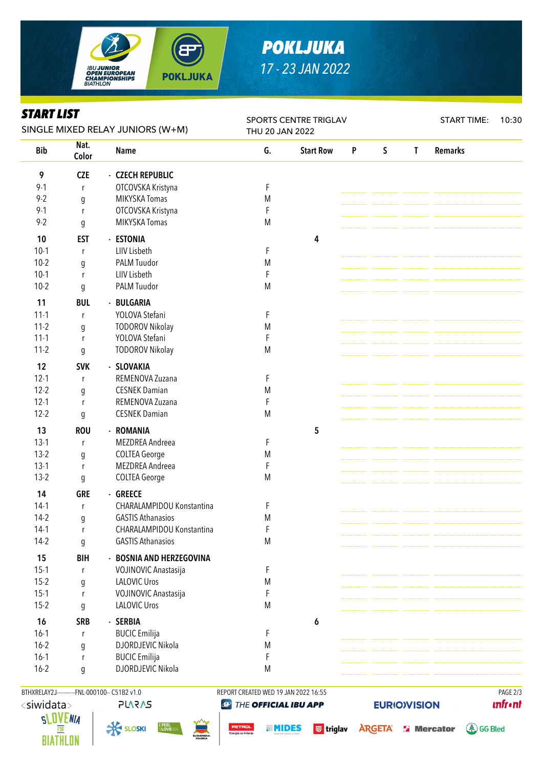

# *POKLJUKA 17 - 23 JAN 2022*

#### *START LIST*

| Siaki lisi<br>SINGLE MIXED RELAY JUNIORS (W+M) |               |                                       | <b>SPORTS CENTRE TRIGLAV</b><br>THU 20 JAN 2022 |                  |   |             |              | <b>START TIME:</b> | 10:30 |
|------------------------------------------------|---------------|---------------------------------------|-------------------------------------------------|------------------|---|-------------|--------------|--------------------|-------|
| <b>Bib</b>                                     | Nat.<br>Color | <b>Name</b>                           | G.                                              | <b>Start Row</b> | P | $\mathsf S$ | $\mathsf{T}$ | <b>Remarks</b>     |       |
| 9                                              | <b>CZE</b>    | - CZECH REPUBLIC                      |                                                 |                  |   |             |              |                    |       |
| $9 - 1$                                        | r             | OTCOVSKA Kristyna                     | F                                               |                  |   |             |              |                    |       |
| $9 - 2$                                        | g             | MIKYSKA Tomas                         | M                                               |                  |   |             |              |                    |       |
| $9 - 1$                                        | r             | OTCOVSKA Kristyna                     | F                                               |                  |   |             |              |                    |       |
| $9 - 2$                                        | g             | <b>MIKYSKA Tomas</b>                  | M                                               |                  |   |             |              |                    |       |
| 10                                             | <b>EST</b>    | - ESTONIA                             |                                                 | 4                |   |             |              |                    |       |
| $10-1$                                         | r             | LIIV Lisbeth                          | F                                               |                  |   |             |              |                    |       |
| $10-2$                                         | g             | PALM Tuudor                           | M                                               |                  |   |             |              |                    |       |
| $10-1$                                         | r             | LIIV Lisbeth                          | $\mathsf F$                                     |                  |   |             |              |                    |       |
| $10-2$                                         | g             | PALM Tuudor                           | M                                               |                  |   |             |              |                    |       |
| 11                                             | <b>BUL</b>    | - BULGARIA                            |                                                 |                  |   |             |              |                    |       |
| $11 - 1$                                       | r             | YOLOVA Stefani                        | F                                               |                  |   |             |              |                    |       |
| $11-2$                                         | g             | <b>TODOROV Nikolay</b>                | ${\sf M}$                                       |                  |   |             |              |                    |       |
| $11 - 1$                                       | r             | YOLOVA Stefani                        | F                                               |                  |   |             |              |                    |       |
| $11-2$                                         | g             | <b>TODOROV Nikolay</b>                | M                                               |                  |   |             |              |                    |       |
| 12                                             | <b>SVK</b>    | - SLOVAKIA                            |                                                 |                  |   |             |              |                    |       |
| $12 - 1$                                       | r             | REMENOVA Zuzana                       | F                                               |                  |   |             |              |                    |       |
| $12 - 2$                                       |               | <b>CESNEK Damian</b>                  | M                                               |                  |   |             |              |                    |       |
| $12 - 1$                                       | g<br>r        | REMENOVA Zuzana                       | F                                               |                  |   |             |              |                    |       |
| $12 - 2$                                       | g             | <b>CESNEK Damian</b>                  | M                                               |                  |   |             |              |                    |       |
| 13                                             | <b>ROU</b>    | - ROMANIA                             |                                                 | 5                |   |             |              |                    |       |
| $13-1$                                         | r             | MEZDREA Andreea                       | F                                               |                  |   |             |              |                    |       |
| $13-2$                                         | g             | <b>COLTEA George</b>                  | M                                               |                  |   |             |              |                    |       |
| $13-1$                                         | r             | MEZDREA Andreea                       | F                                               |                  |   |             |              |                    |       |
| $13-2$                                         | g             | <b>COLTEA George</b>                  | M                                               |                  |   |             |              |                    |       |
|                                                |               |                                       |                                                 |                  |   |             |              |                    |       |
| 14<br>$14-1$                                   | <b>GRE</b>    | - GREECE<br>CHARALAMPIDOU Konstantina | F                                               |                  |   |             |              |                    |       |
| $14-2$                                         | r             | <b>GASTIS Athanasios</b>              | ${\sf M}$                                       |                  |   |             |              |                    |       |
| $14-1$                                         | g<br>r        | CHARALAMPIDOU Konstantina             | F                                               |                  |   |             |              |                    |       |
| $14-2$                                         | g             | <b>GASTIS Athanasios</b>              | M                                               |                  |   |             |              |                    |       |
|                                                |               |                                       |                                                 |                  |   |             |              |                    |       |
| 15                                             | <b>BIH</b>    | - BOSNIA AND HERZEGOVINA              |                                                 |                  |   |             |              |                    |       |
| $15-1$                                         | r             | VOJINOVIC Anastasija                  | F                                               |                  |   |             |              |                    |       |
| $15-2$                                         | g             | <b>LALOVIC Uros</b>                   | ${\sf M}$                                       |                  |   |             |              |                    |       |
| $15-1$                                         | r             | VOJINOVIC Anastasija                  | F                                               |                  |   |             |              |                    |       |
| $15-2$                                         | g             | <b>LALOVIC Uros</b>                   | M                                               |                  |   |             |              |                    |       |
| 16                                             | <b>SRB</b>    | - SERBIA                              |                                                 | 6                |   |             |              |                    |       |
| $16-1$                                         | r             | <b>BUCIC</b> Emilija                  | F                                               |                  |   |             |              |                    |       |
| $16 - 2$                                       | g             | DJORDJEVIC Nikola                     | ${\sf M}$                                       |                  |   |             |              |                    |       |
| $16-1$                                         | r             | <b>BUCIC</b> Emilija                  | F                                               |                  |   |             |              |                    |       |
| $16 - 2$                                       | g             | DJORDJEVIC Nikola                     | M                                               |                  |   |             |              |                    |       |
|                                                |               |                                       |                                                 |                  |   |             |              |                    |       |





BTHXRELAY2J----------FNL-000100-- C51B2 v1.0 REPORT CREATED WED 19 JAN 2022 16:55 PAGE 2/3 THE OFFICIAL IBU APP

**unfront** 

**4 GG Bled** 

**EURIO)VISION** 

**a MIDES** G triglav ARGETA **S' Mercator**